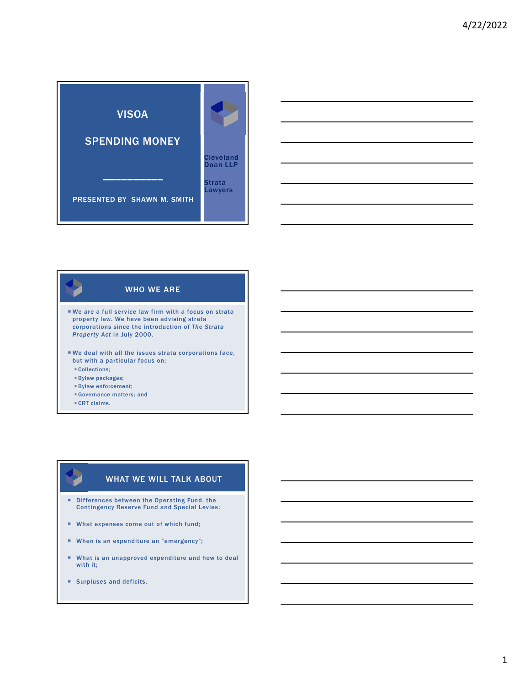



# We are a full service law firm with a focus on strata property law. We have been advising strata corporations since the introduction of *The Strata Property Act* in July 2000. We deal with all the issues strata corporations face, WHO WE ARE

- but with a particular focus on:
- Collections;
- Bylaw packages;
- Bylaw enforcement;
- Governance matters; and
- CRT claims.

# WHAT WE WILL TALK ABOUT

- Differences between the Operating Fund, the Contingency Reserve Fund and Special Levies;
- What expenses come out of which fund;
- When is an expenditure an "emergency";
- What is an unapproved expenditure and how to deal with it;
- **Surpluses and deficits.**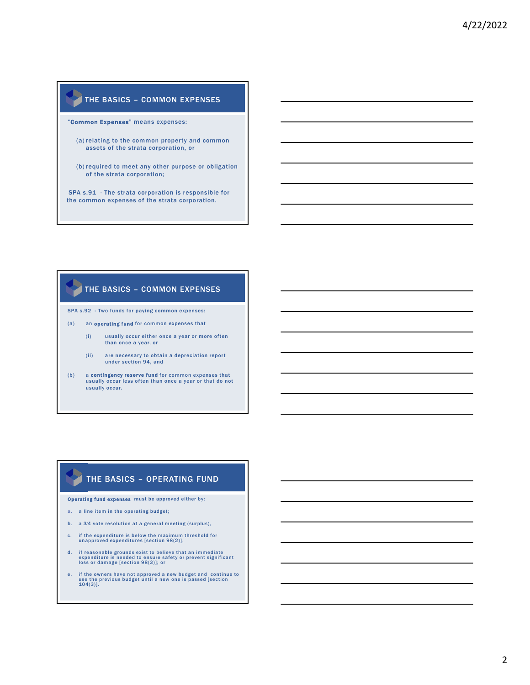## THE BASICS – COMMON EXPENSES

"Common Expenses" means expenses:

- (a) relating to the common property and common assets of the strata corporation, or
- (b) required to meet any other purpose or obligation of the strata corporation;

SPA s.91 - The strata corporation is responsible for the common expenses of the strata corporation.

### THE BASICS – COMMON EXPENSES

SPA s.92 - Two funds for paying common expenses:

- (a) an operating fund for common expenses that
	- (i) usually occur either once a year or more often than once a year, or
	- (ii) are necessary to obtain a depreciation report under section 94, and
- (b) a contingency reserve fund for common expenses that usually occur less often than once a year or that do not usually occur.

# THE BASICS – OPERATING FUND

Operating fund expenses must be approved either by:

- a. a line item in the operating budget;
- b. a 3⁄4 vote resolution at a general meeting (surplus),
- c. if the expenditure is below the maximum threshold for unapproved expenditures [section 98(2)],
- d. if reasonable grounds exist to believe that an immediate<br>expenditure is needed to ensure safety or prevent significant<br>loss or damage [section 98(3)]; or
- e. if the owners have not approved a new budget and continue to use the previous budget until a new one is passed [section 104(3)].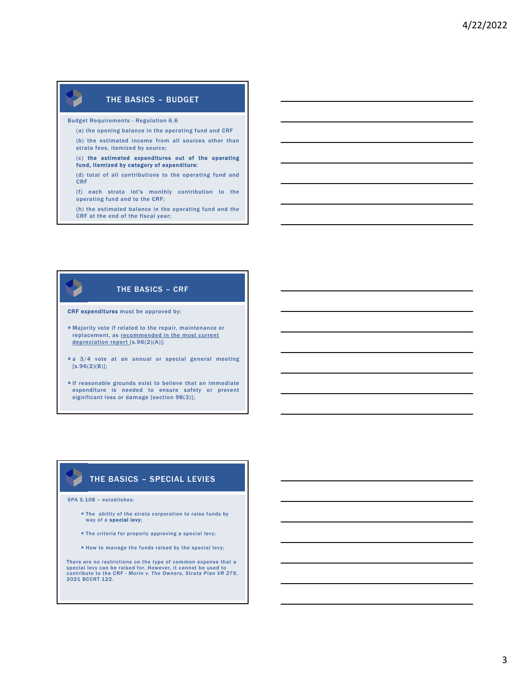# THE BASICS – BUDGET

Budget Requirements - Regulation 6.6

(a) the opening balance in the operating fund and CRF

(b) the estimated income from all sources other than strata fees, itemized by source;

#### (c) the estimated expenditures out of the operating fund, itemized by category of expenditure;

(d) total of all contributions to the operating fund and CRF

(f) each strata lot's monthly contribution to the operating fund and to the CRF;

(h) the estimated balance in the operating fund and the CRF at the end of the fiscal year;

## THE BASICS – CRF

CRF expenditures must be approved by:

- Majority vote if related to the repair, maintenance or replacement, as recommended in the most current depreciation report [s.96(2)(A)];
- a 3/4 vote at an annual or special general meeting [s.96(2)(B)];
- if reasonable grounds exist to believe that an immediate expenditure is needed to ensure safety or prevent significant loss or damage [section 98(3)];

### THE BASICS – SPECIAL LEVIES

SPA S.108 – establishes:

- The ability of the strata corporation to raise funds by way of a special levy;
- **The criteria for properly approving a special levy;**
- $\blacksquare$  How to manage the funds raised by the special levy;

There are no restrictions on the type of common expense that a special levy can be raised for. However, it cannot be used to contribute to the CRF - *Morin v. The Owners, Strata Plan VR 279*, 2021 BCCRT 122.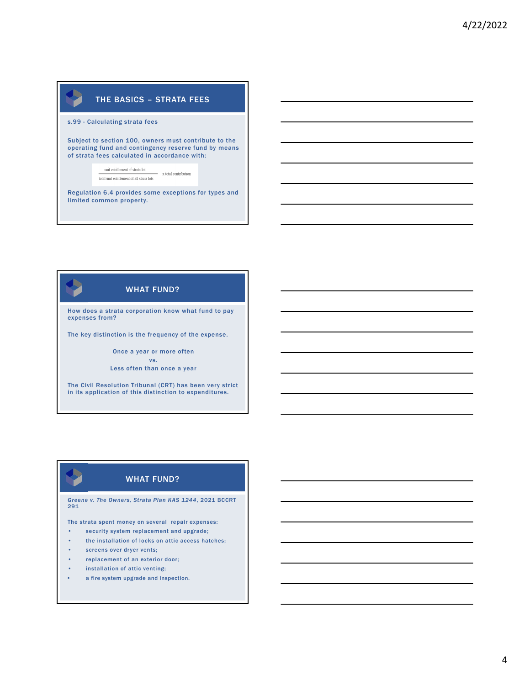# THE BASICS – STRATA FEES

s.99 - Calculating strata fees

Subject to section 100, owners must contribute to the operating fund and contingency reserve fund by means of strata fees calculated in accordance with:

> unit entitlement of strata lot  $- x$  total contribution  $% \left\vert \left( \mathbf{1}_{\mathbf{1}}\right) \right\rangle$  total unit entitlement of all strata lots

Regulation 6.4 provides some exceptions for types and limited common property.

# WHAT FUND?

How does a strata corporation know what fund to pay expenses from?

The key distinction is the frequency of the expense.

Once a year or more often vs. Less often than once a year

The Civil Resolution Tribunal (CRT) has been very strict in its application of this distinction to expenditures.

# WHAT FUND?

*Greene v. The Owners, Strata Plan KAS 1244*, 2021 BCCRT 291

The strata spent money on several repair expenses:

- security system replacement and upgrade;
- the installation of locks on attic access hatches;
- screens over dryer vents;
- replacement of an exterior door;
- installation of attic venting;
- a fire system upgrade and inspection.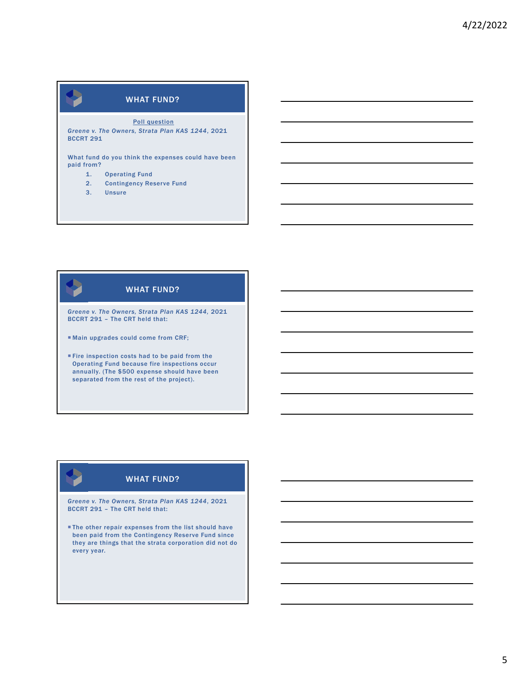Poll question

*Greene v. The Owners, Strata Plan KAS 1244*, 2021 BCCRT 291

What fund do you think the expenses could have been paid from?

- 1. Operating Fund
- 2. Contingency Reserve Fund
- 3. Unsure

# WHAT FUND?

*Greene v. The Owners, Strata Plan KAS 1244,* 2021 BCCRT 291 – The CRT held that:

Main upgrades could come from CRF;

Fire inspection costs had to be paid from the Operating Fund because fire inspections occur annually. (The \$500 expense should have been separated from the rest of the project).

# WHAT FUND?

*Greene v. The Owners, Strata Plan KAS 1244*, 2021 BCCRT 291 – The CRT held that:

**The other repair expenses from the list should have** been paid from the Contingency Reserve Fund since they are things that the strata corporation did not do every year.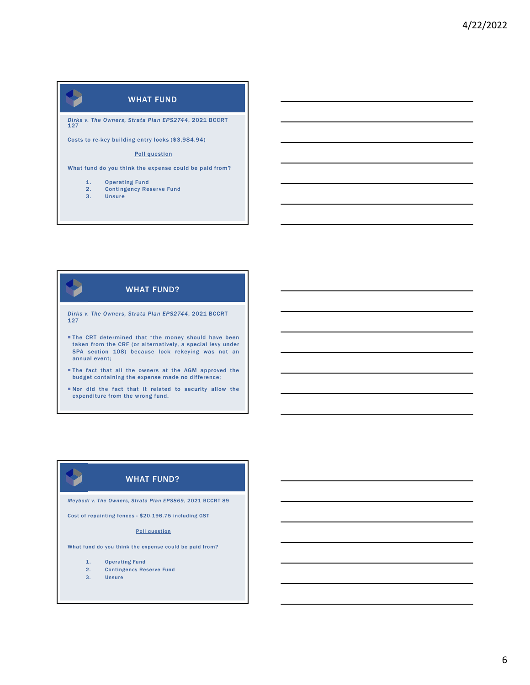

What fund do you think the expense could be paid from?

- 1. Operating Fund<br>2. Contingency Res
- 2. Contingency Reserve Fund<br>3. Unsure
	- **Unsure**

# WHAT FUND?

*Dirks v. The Owners, Strata Plan EPS2744*, 2021 BCCRT 127

- **The CRT determined that "the money should have been** taken from the CRF (or alternatively, a special levy under SPA section 108) because lock rekeying was not an annual event;
- The fact that all the owners at the AGM approved the budget containing the expense made no difference;
- Nor did the fact that it related to security allow the expenditure from the wrong fund.

# WHAT FUND?

*Meybodi v. The Owners, Strata Plan EPS869*, 2021 BCCRT 89

Cost of repainting fences - \$20,196.75 including GST

#### Poll question

What fund do you think the expense could be paid from?

- 1. Operating Fund
- 2. Contingency Reserve Fund
- 3. Unsure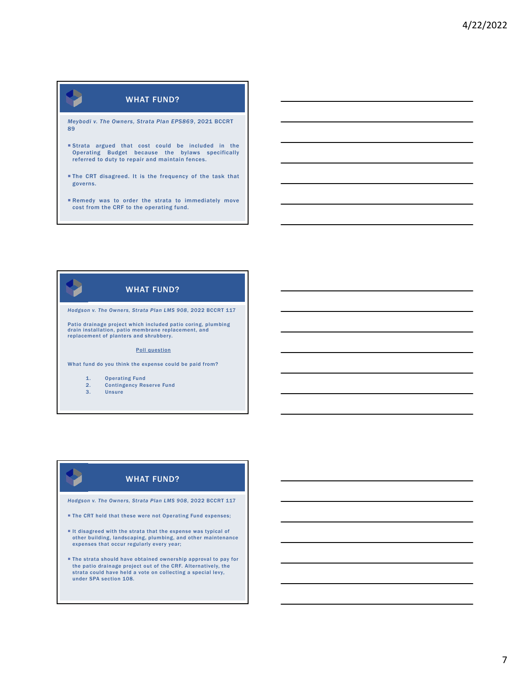*Meybodi v. The Owners, Strata Plan EPS869*, 2021 BCCRT 89

- Strata argued that cost could be included in the Operating Budget because the bylaws specifically referred to duty to repair and maintain fences.
- The CRT disagreed. It is the frequency of the task that governs.
- Remedy was to order the strata to immediately move cost from the CRF to the operating fund.

# WHAT FUND?

*Hodgson v. The Owners, Strata Plan LMS 908*, 2022 BCCRT 117

Patio drainage project which included patio coring, plumbing drain installation, patio membrane replacement, and replacement of planters and shrubbery.

#### Poll question

What fund do you think the expense could be paid from?

1. Operating Fund

- 2. Contingency Reserve Fund
- 3. Unsure

# WHAT FUND?

*Hodgson v. The Owners, Strata Plan LMS 908*, 2022 BCCRT 117

- **The CRT held that these were not Operating Fund expenses;**
- It disagreed with the strata that the expense was typical of other building, landscaping, plumbing, and other maintenance expenses that occur regularly every year;
- The strata should have obtained ownership approval to pay for the patio drainage project out of the CRF. Alternatively, the strata could have held a vote on collecting a special levy, under SPA section 108.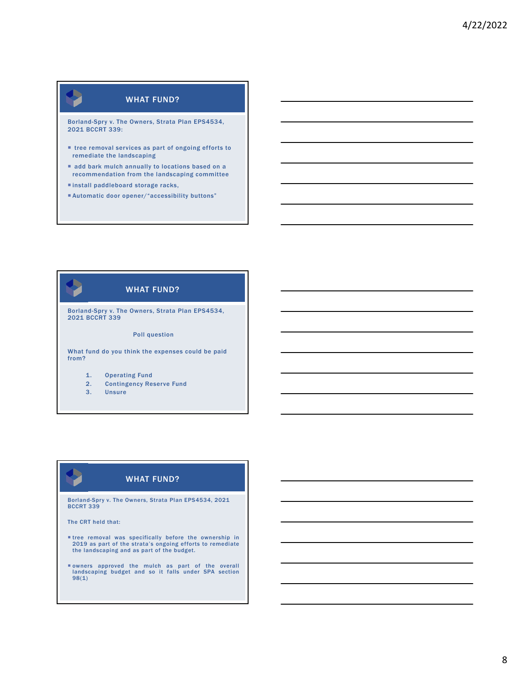Borland-Spry v. The Owners, Strata Plan EPS4534, 2021 BCCRT 339:

- tree removal services as part of ongoing efforts to remediate the landscaping
- add bark mulch annually to locations based on a recommendation from the landscaping committee
- install paddleboard storage racks,
- Automatic door opener/"accessibility buttons"

# WHAT FUND?

Borland-Spry v. The Owners, Strata Plan EPS4534, 2021 BCCRT 339

#### Poll question

What fund do you think the expenses could be paid from?

- 1. Operating Fund
- 2. Contingency Reserve Fund
- 3. Unsure

# WHAT FUND?

Borland-Spry v. The Owners, Strata Plan EPS4534, 2021 BCCRT 339

The CRT held that:

- tree removal was specifically before the ownership in 2019 as part of the strata's ongoing efforts to remediate the landscaping and as part of the budget.
- owners approved the mulch as part of the overall landscaping budget and so it falls under SPA section 98(1)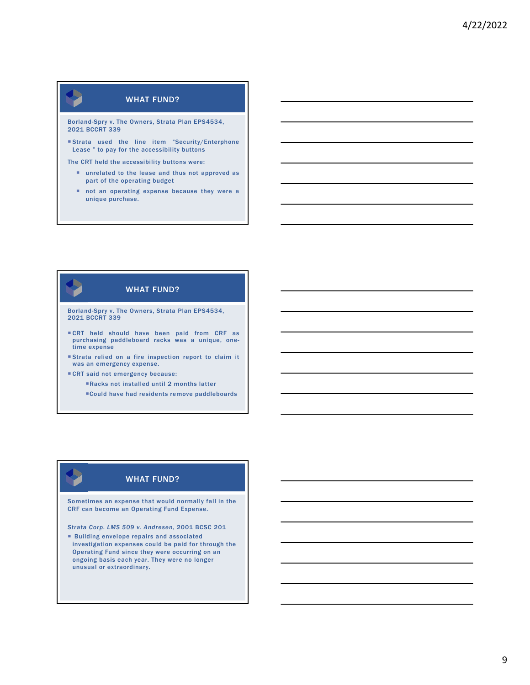Borland-Spry v. The Owners, Strata Plan EPS4534, 2021 BCCRT 339

 Strata used the line item "Security/Enterphone Lease " to pay for the accessibility buttons

The CRT held the accessibility buttons were:

- unrelated to the lease and thus not approved as part of the operating budget
- not an operating expense because they were a unique purchase.

# WHAT FUND?

Borland-Spry v. The Owners, Strata Plan EPS4534, 2021 BCCRT 339

- CRT held should have been paid from CRF as purchasing paddleboard racks was a unique, one-time expense
- Strata relied on a fire inspection report to claim it was an emergency expense.
- CRT said not emergency because:
	- Racks not installed until 2 months latter
	- Could have had residents remove paddleboards

# WHAT FUND?

Sometimes an expense that would normally fall in the CRF can become an Operating Fund Expense.

*Strata Corp. LMS 509 v. Andresen*, 2001 BCSC 201

 Building envelope repairs and associated investigation expenses could be paid for through the Operating Fund since they were occurring on an ongoing basis each year. They were no longer unusual or extraordinary.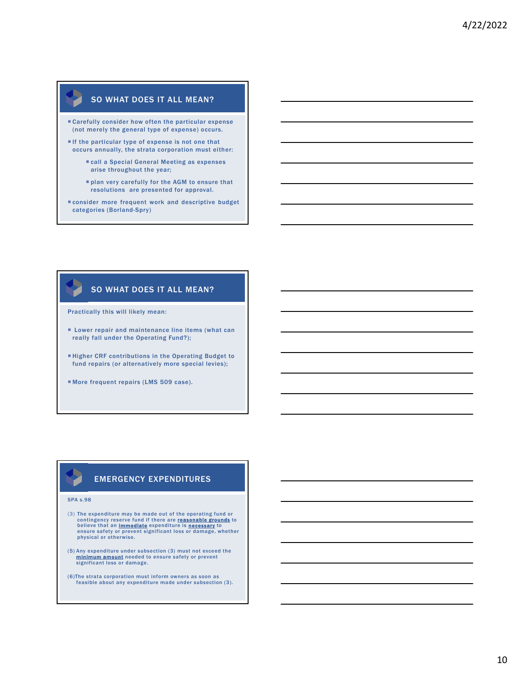### SO WHAT DOES IT ALL MEAN?

- Carefully consider how often the particular expense (not merely the general type of expense) occurs.
- If the particular type of expense is not one that occurs annually, the strata corporation must either:
	- call a Special General Meeting as expenses arise throughout the year;
	- plan very carefully for the AGM to ensure that resolutions are presented for approval.
- consider more frequent work and descriptive budget categories (Borland-Spry)

### SO WHAT DOES IT ALL MEAN?

Practically this will likely mean:

- **EXECUTE:** Lower repair and maintenance line items (what can really fall under the Operating Fund?);
- Higher CRF contributions in the Operating Budget to fund repairs (or alternatively more special levies);
- More frequent repairs (LMS 509 case).

### EMERGENCY EXPENDITURES

#### SPA s.98

- (3) The expenditure may be made out of the operating fund or contingency reserve fund if there are <mark>reasonable grounds</mark> to<br>believe that an <u>Immediate</u> expenditure is <u>necessary</u> to ensure safety or prevent significant loss or damage, whether physical or otherwise.
- (5) Any expenditure under subsection (3) must not exceed the minimum amount needed to ensure safety or prevent significant loss or damage.
- (6)The strata corporation must inform owners as soon as feasible about any expenditure made under subsection (3).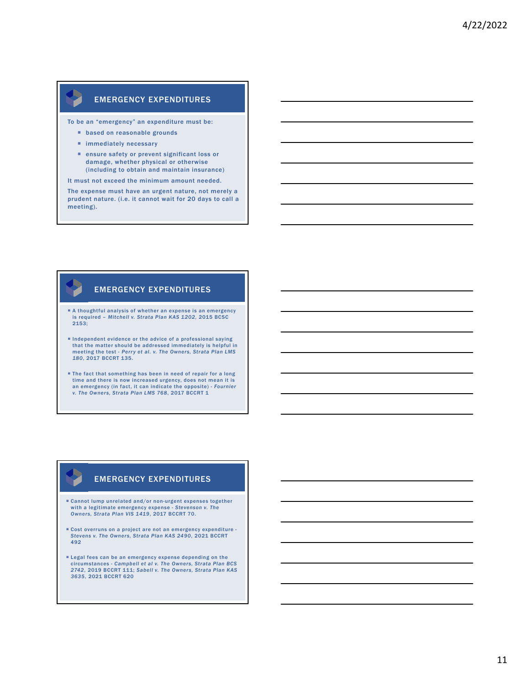## EMERGENCY EXPENDITURES

To be an "emergency" an expenditure must be:

- **based on reasonable grounds**
- **n** immediately necessary
- ensure safety or prevent significant loss or damage, whether physical or otherwise (including to obtain and maintain insurance)
- It must not exceed the minimum amount needed.

The expense must have an urgent nature, not merely a prudent nature. (i.e. it cannot wait for 20 days to call a meeting).

### EMERGENCY EXPENDITURES

- A thoughtful analysis of whether an expense is an emergency is required – *Mitchell v. Strata Plan KAS 1202,* 2015 BCSC 2153;
- Independent evidence or the advice of a professional saying that the matter should be addressed immediately is helpful in meeting the test - *Perry et al. v. The Owners, Strata Plan LMS 180*, 2017 BCCRT 135.
- The fact that something has been in need of repair for a long time and there is now increased urgency, does not mean it is<br>an emergency (in fact, it can indicate the opposite) - *Fournier*<br>v. The Owners, Strata Plan LMS 768, 2017 BCCRT 1

### EMERGENCY EXPENDITURES

- Cannot lump unrelated and/or non-urgent expenses together with a legitimate emergency expense - *Stevenson v. The Owners, Strata Plan VIS 1419*, 2017 BCCRT 70.
- Cost overruns on a project are not an emergency expenditure *Stevens v. The Owners, Strata Plan KAS 2490*, 2021 BCCRT 492
- Legal fees can be an emergency expense depending on the circumstances - *Campbell et al v. The Owners, Strata Plan BCS 2742*, 2019 BCCRT 111; *Sabell v. The Owners, Strata Plan KAS 3635*, 2021 BCCRT 620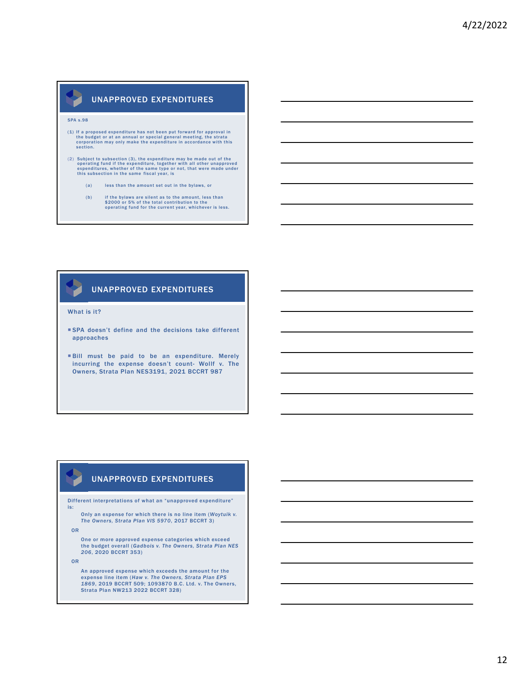## UNAPPROVED EXPENDITURES

#### SPA s.98

- (1) If a proposed expenditure has not been put forward for approval in the budget or at an annual or special general meeting, the strata corporation may only make the expenditure in accordance with this section.
- (2) Subject to subsection (3), the expenditure may be made out of the operating fund if the expenditure, together with all other unapproved expenditures, whether of the same type or not, that were made under this subsecti
	- (a) less than the amount set out in the bylaws, or
	- (b) if the bylaws are silent as to the amount, less than \$2000 or 5% of the total contribution to the operating fund for the current year, whichever is less.

### UNAPPROVED EXPENDITURES

#### What is it?

- SPA doesn't define and the decisions take different approaches
- Bill must be paid to be an expenditure. Merely incurring the expense doesn't count- Wollf v. The Owners, Strata Plan NES3191, 2021 BCCRT 987

## UNAPPROVED EXPENDITURES

Different interpretations of what an "unapproved expenditure" is:

Only an expense for which there is no line item (*Woytuik v. The Owners, Strata Plan VIS 5970*, 2017 BCCRT 3)

OR

One or more approved expense categories which exceed the budget overall (*Gadbois v. The Owners, Strata Plan NES 206*, 2020 BCCRT 353)

OR

An approved expense which exceeds the amount for the expense line item (*Haw v. The Owners, Strata Plan EPS 1869*, 2019 BCCRT 509; 1093870 B.C. Ltd. v. The Owners, Strata Plan NW213 2022 BCCRT 328)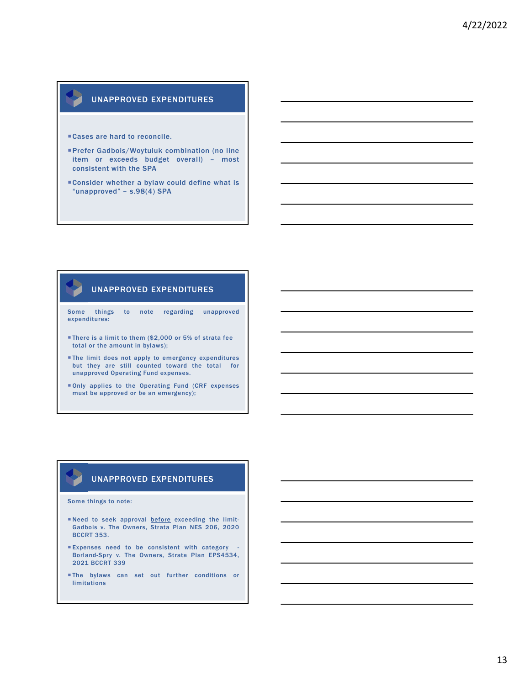## UNAPPROVED EXPENDITURES

- Cases are hard to reconcile.
- Prefer Gadbois/Woytuiuk combination (no line item or exceeds budget overall) – most consistent with the SPA
- Consider whether a bylaw could define what is "unapproved" – s.98(4) SPA

### UNAPPROVED EXPENDITURES

Some things to note regarding unapproved expenditures:

- There is a limit to them (\$2,000 or 5% of strata fee total or the amount in bylaws);
- The limit does not apply to emergency expenditures but they are still counted toward the total for unapproved Operating Fund expenses.
- Only applies to the Operating Fund (CRF expenses must be approved or be an emergency);

### UNAPPROVED EXPENDITURES

#### Some things to note:

- Need to seek approval before exceeding the limit-Gadbois v. The Owners, Strata Plan NES 206, 2020 BCCRT 353.
- Expenses need to be consistent with category Borland-Spry v. The Owners, Strata Plan EPS4534, 2021 BCCRT 339
- The bylaws can set out further conditions or limitations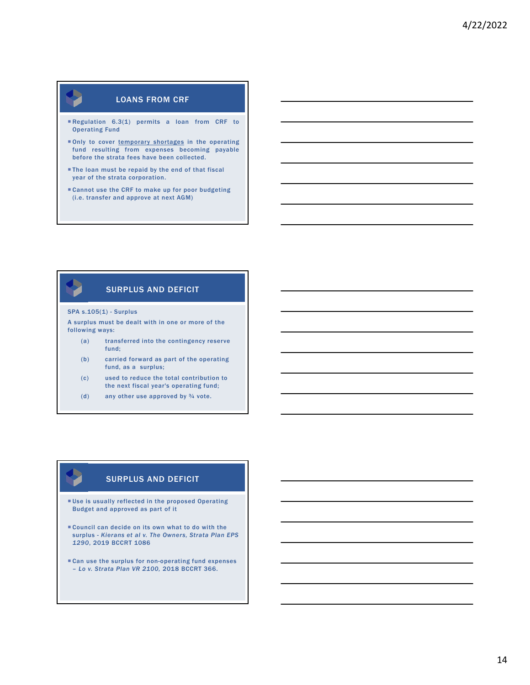# LOANS FROM CRF

- Regulation 6.3(1) permits a loan from CRF to Operating Fund
- Only to cover temporary shortages in the operating fund resulting from expenses becoming payable before the strata fees have been collected.
- **The loan must be repaid by the end of that fiscal** year of the strata corporation.
- Cannot use the CRF to make up for poor budgeting (i.e. transfer and approve at next AGM)

## SURPLUS AND DEFICIT

#### SPA s.105(1) - Surplus

A surplus must be dealt with in one or more of the following ways:

- (a) transferred into the contingency reserve fund;
- (b) carried forward as part of the operating fund, as a surplus;
- (c) used to reduce the total contribution to the next fiscal year's operating fund;
- (d) any other use approved by  $\frac{3}{4}$  vote.

## SURPLUS AND DEFICIT

- Use is usually reflected in the proposed Operating Budget and approved as part of it
- Council can decide on its own what to do with the surplus - *Kierans et al v. The Owners, Strata Plan EPS 1290*, 2019 BCCRT 1086
- Can use the surplus for non-operating fund expenses – *Lo v. Strata Plan VR 2100,* 2018 BCCRT 366.